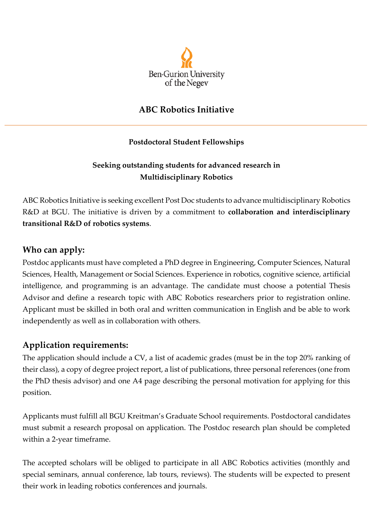

## **ABC Robotics Initiative**

#### **Postdoctoral Student Fellowships**

#### **Seeking outstanding students for advanced research in Multidisciplinary Robotics**

ABC Robotics Initiative is seeking excellent Post Doc students to advance multidisciplinary Robotics R&D at BGU. The initiative is driven by a commitment to **collaboration and interdisciplinary transitional R&D of robotics systems**.

#### **Who can apply:**

Postdoc applicants must have completed a PhD degree in Engineering, Computer Sciences, Natural Sciences, Health, Management or Social Sciences. Experience in robotics, cognitive science, artificial intelligence, and programming is an advantage. The candidate must choose a potential Thesis Advisor and define a research topic with ABC Robotics researchers prior to registration online. Applicant must be skilled in both oral and written communication in English and be able to work independently as well as in collaboration with others.

#### **Application requirements:**

The application should include a CV, a list of academic grades (must be in the top 20% ranking of their class), a copy of degree project report, a list of publications, three personal references (one from the PhD thesis advisor) and one A4 page describing the personal motivation for applying for this position.

Applicants must fulfill all BGU Kreitman's Graduate School requirements. Postdoctoral candidates must submit a research proposal on application. The Postdoc research plan should be completed within a 2-year timeframe.

The accepted scholars will be obliged to participate in all ABC Robotics activities (monthly and special seminars, annual conference, lab tours, reviews). The students will be expected to present their work in leading robotics conferences and journals.